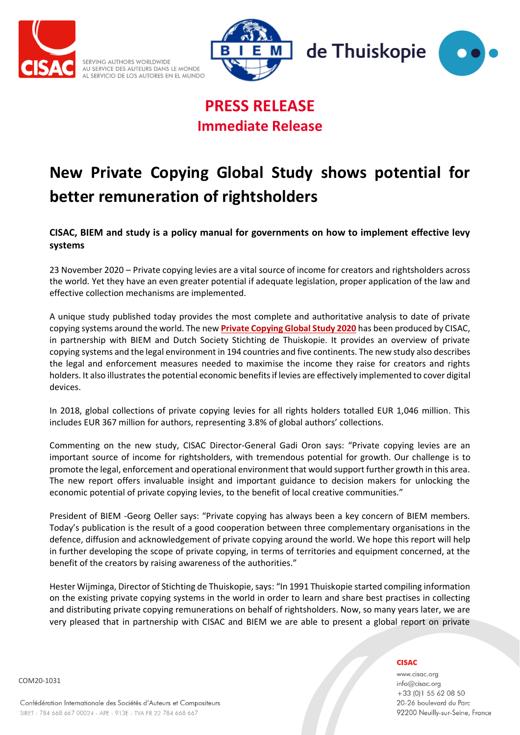







## **PRESS RELEASE Immediate Release**

# **New Private Copying Global Study shows potential for better remuneration of rightsholders**

### **CISAC, BIEM and study is a policy manual for governments on how to implement effective levy systems**

23 November 2020 – Private copying levies are a vital source of income for creators and rightsholders across the world. Yet they have an even greater potential if adequate legislation, proper application of the law and effective collection mechanisms are implemented.

A unique study published today provides the most complete and authoritative analysis to date of private copying systems around the world. The new **[Private Copying Global Study 2020](https://www.cisac.org/Cisac-Home/Newsroom/News-Releases/New-Private-Copying-Global-Study-shows-potential-for-better-remuneration-of-rightsholders)** has been produced by CISAC, in partnership with BIEM and Dutch Society Stichting de Thuiskopie. It provides an overview of private copying systems and the legal environment in 194 countries and five continents. The new study also describes the legal and enforcement measures needed to maximise the income they raise for creators and rights holders. It also illustrates the potential economic benefits if levies are effectively implemented to cover digital devices.

In 2018, global collections of private copying levies for all rights holders totalled EUR 1,046 million. This includes EUR 367 million for authors, representing 3.8% of global authors' collections.

Commenting on the new study, CISAC Director-General Gadi Oron says: "Private copying levies are an important source of income for rightsholders, with tremendous potential for growth. Our challenge is to promote the legal, enforcement and operational environment that would support further growth in this area. The new report offers invaluable insight and important guidance to decision makers for unlocking the economic potential of private copying levies, to the benefit of local creative communities."

President of BIEM -Georg Oeller says: "Private copying has always been a key concern of BIEM members. Today's publication is the result of a good cooperation between three complementary organisations in the defence, diffusion and acknowledgement of private copying around the world. We hope this report will help in further developing the scope of private copying, in terms of territories and equipment concerned, at the benefit of the creators by raising awareness of the authorities."

Hester Wijminga, Director of Stichting de Thuiskopie, says: "In 1991 Thuiskopie started compiling information on the existing private copying systems in the world in order to learn and share best practises in collecting and distributing private copying remunerations on behalf of rightsholders. Now, so many years later, we are very pleased that in partnership with CISAC and BIEM we are able to present a global report on private

#### **CISAC**

www.cisac.org info@cisac.org +33 (0)1 55 62 08 50 20-26 boulevard du Parc 92200 Neuilly-sur-Seine, France

COM20-1031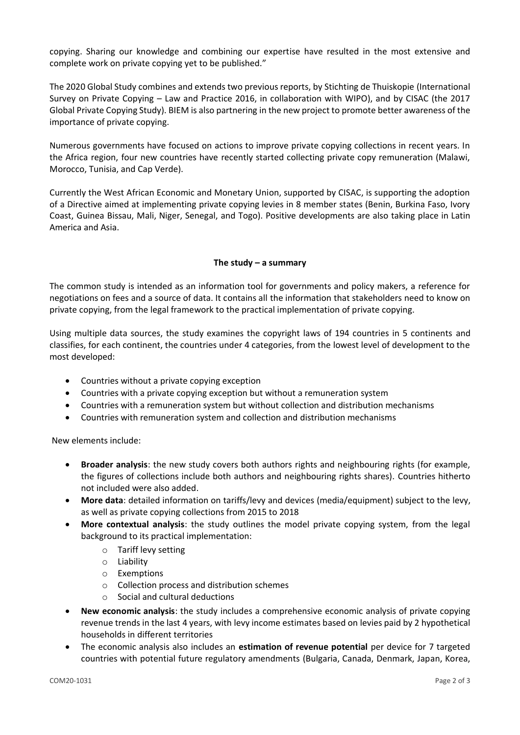copying. Sharing our knowledge and combining our expertise have resulted in the most extensive and complete work on private copying yet to be published."

The 2020 Global Study combines and extends two previous reports, by Stichting de Thuiskopie (International Survey on Private Copying – Law and Practice 2016, in collaboration with WIPO), and by CISAC (the 2017 Global Private Copying Study). BIEM is also partnering in the new project to promote better awareness of the importance of private copying.

Numerous governments have focused on actions to improve private copying collections in recent years. In the Africa region, four new countries have recently started collecting private copy remuneration (Malawi, Morocco, Tunisia, and Cap Verde).

Currently the West African Economic and Monetary Union, supported by CISAC, is supporting the adoption of a Directive aimed at implementing private copying levies in 8 member states (Benin, Burkina Faso, Ivory Coast, Guinea Bissau, Mali, Niger, Senegal, and Togo). Positive developments are also taking place in Latin America and Asia.

#### **The study – a summary**

The common study is intended as an information tool for governments and policy makers, a reference for negotiations on fees and a source of data. It contains all the information that stakeholders need to know on private copying, from the legal framework to the practical implementation of private copying.

Using multiple data sources, the study examines the copyright laws of 194 countries in 5 continents and classifies, for each continent, the countries under 4 categories, from the lowest level of development to the most developed:

- Countries without a private copying exception
- Countries with a private copying exception but without a remuneration system
- Countries with a remuneration system but without collection and distribution mechanisms
- Countries with remuneration system and collection and distribution mechanisms

New elements include:

- **Broader analysis**: the new study covers both authors rights and neighbouring rights (for example, the figures of collections include both authors and neighbouring rights shares). Countries hitherto not included were also added.
- **More data**: detailed information on tariffs/levy and devices (media/equipment) subject to the levy, as well as private copying collections from 2015 to 2018
- **More contextual analysis**: the study outlines the model private copying system, from the legal background to its practical implementation:
	- o Tariff levy setting
	- o Liability
	- o Exemptions
	- o Collection process and distribution schemes
	- Social and cultural deductions
- **New economic analysis**: the study includes a comprehensive economic analysis of private copying revenue trends in the last 4 years, with levy income estimates based on levies paid by 2 hypothetical households in different territories
- The economic analysis also includes an **estimation of revenue potential** per device for 7 targeted countries with potential future regulatory amendments (Bulgaria, Canada, Denmark, Japan, Korea,